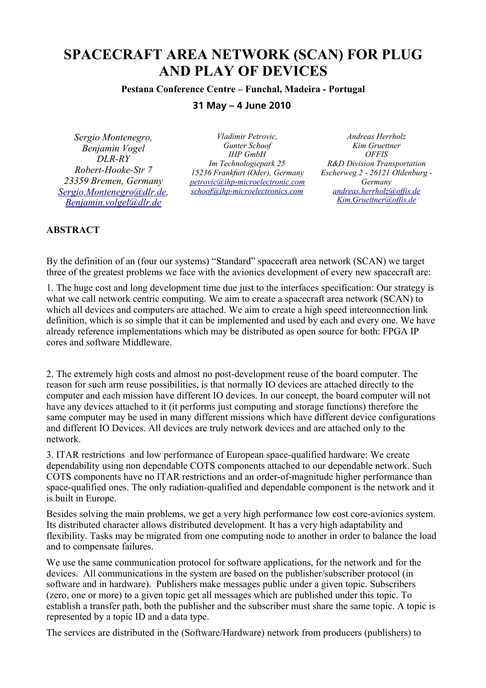# **SPACECRAFT AREA NETWORK (SCAN) FOR PLUG AND PLAY OF DEVICES**

#### **Pestana Conference Centre – Funchal, Madeira - Portugal**

### **31 May – 4 June 2010**

*Sergio Montenegro, Benjamin Vogel DLR-RY Robert-Hooke-Str 7 23359 Bremen, Germany [Sergio.Montenegro@dlr.de,](mailto:Sergio.Montenegro@dlr.de) [Benjamin.volgel@dlr.de](mailto:Benjamin.volgel@dlr.de)*

*Vladimir Petrovic, Gunter Schoof IHP GmbH Im Technologiepark 25 15236 Frankfurt (Oder), Germany [petrovic@ihp-microelectronic.com](mailto:petrovic@ihp-microelectronic.com) [schoof@ihp-microelectronics.com](mailto:schoof@ihp-microelectronics.com)*

*Andreas Herrholz Kim Gruettner OFFIS R&D Division Transportation Escherweg 2 - 26121 Oldenburg - Germany [andreas.herrholz@offis.de](mailto:andreas.herrholz@offis.de) [Kim.Gruettner@offis.de](mailto:Kim.Gruettner@offis.de)*

#### **ABSTRACT**

By the definition of an (four our systems) "Standard" spacecraft area network (SCAN) we target three of the greatest problems we face with the avionics development of every new spacecraft are:

1. The huge cost and long development time due just to the interfaces specification: Our strategy is what we call network centric computing. We aim to create a spacecraft area network (SCAN) to which all devices and computers are attached. We aim to create a high speed interconnection link definition, which is so simple that it can be implemented and used by each and every one. We have already reference implementations which may be distributed as open source for both: FPGA IP cores and software Middleware.

2. The extremely high costs and almost no post-development reuse of the board computer. The reason for such arm reuse possibilities, is that normally IO devices are attached directly to the computer and each mission have different IO devices. In our concept, the board computer will not have any devices attached to it (it performs just computing and storage functions) therefore the same computer may be used in many different missions which have different device configurations and different IO Devices. All devices are truly network devices and are attached only to the network.

3. ITAR restrictions and low performance of European space-qualified hardware: We create dependability using non dependable COTS components attached to our dependable network. Such COTS components have no ITAR restrictions and an order-of-magnitude higher performance than space-qualified ones. The only radiation-qualified and dependable component is the network and it is built in Europe.

Besides solving the main problems, we get a very high performance low cost core-avionics system. Its distributed character allows distributed development. It has a very high adaptability and flexibility. Tasks may be migrated from one computing node to another in order to balance the load and to compensate failures.

We use the same communication protocol for software applications, for the network and for the devices. All communications in the system are based on the publisher/subscriber protocol (in software and in hardware). Publishers make messages public under a given topic. Subscribers (zero, one or more) to a given topic get all messages which are published under this topic. To establish a transfer path, both the publisher and the subscriber must share the same topic. A topic is represented by a topic ID and a data type.

The services are distributed in the (Software/Hardware) network from producers (publishers) to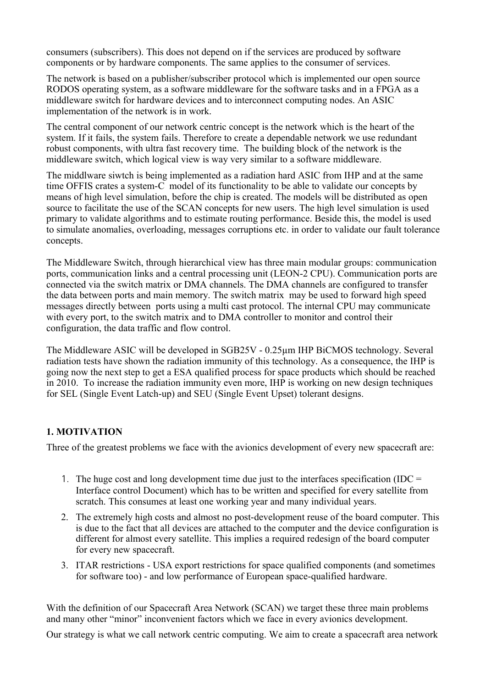consumers (subscribers). This does not depend on if the services are produced by software components or by hardware components. The same applies to the consumer of services.

The network is based on a publisher/subscriber protocol which is implemented our open source RODOS operating system, as a software middleware for the software tasks and in a FPGA as a middleware switch for hardware devices and to interconnect computing nodes. An ASIC implementation of the network is in work.

The central component of our network centric concept is the network which is the heart of the system. If it fails, the system fails. Therefore to create a dependable network we use redundant robust components, with ultra fast recovery time. The building block of the network is the middleware switch, which logical view is way very similar to a software middleware.

The middlware siwtch is being implemented as a radiation hard ASIC from IHP and at the same time OFFIS crates a system-C model of its functionality to be able to validate our concepts by means of high level simulation, before the chip is created. The models will be distributed as open source to facilitate the use of the SCAN concepts for new users. The high level simulation is used primary to validate algorithms and to estimate routing performance. Beside this, the model is used to simulate anomalies, overloading, messages corruptions etc. in order to validate our fault tolerance concepts.

The Middleware Switch, through hierarchical view has three main modular groups: communication ports, communication links and a central processing unit (LEON-2 CPU). Communication ports are connected via the switch matrix or DMA channels. The DMA channels are configured to transfer the data between ports and main memory. The switch matrix may be used to forward high speed messages directly between ports using a multi cast protocol. The internal CPU may communicate with every port, to the switch matrix and to DMA controller to monitor and control their configuration, the data traffic and flow control.

The Middleware ASIC will be developed in SGB25V - 0.25µm IHP BiCMOS technology. Several radiation tests have shown the radiation immunity of this technology. As a consequence, the IHP is going now the next step to get a ESA qualified process for space products which should be reached in 2010. To increase the radiation immunity even more, IHP is working on new design techniques for SEL (Single Event Latch-up) and SEU (Single Event Upset) tolerant designs.

# **1. MOTIVATION**

Three of the greatest problems we face with the avionics development of every new spacecraft are:

- 1. The huge cost and long development time due just to the interfaces specification (IDC  $=$ Interface control Document) which has to be written and specified for every satellite from scratch. This consumes at least one working year and many individual years.
- 2. The extremely high costs and almost no post-development reuse of the board computer. This is due to the fact that all devices are attached to the computer and the device configuration is different for almost every satellite. This implies a required redesign of the board computer for every new spacecraft.
- 3. ITAR restrictions USA export restrictions for space qualified components (and sometimes for software too) - and low performance of European space-qualified hardware.

With the definition of our Spacecraft Area Network (SCAN) we target these three main problems and many other "minor" inconvenient factors which we face in every avionics development.

Our strategy is what we call network centric computing. We aim to create a spacecraft area network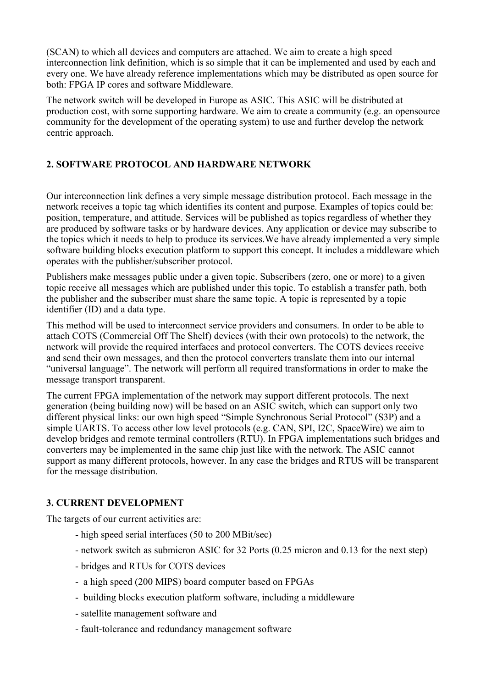(SCAN) to which all devices and computers are attached. We aim to create a high speed interconnection link definition, which is so simple that it can be implemented and used by each and every one. We have already reference implementations which may be distributed as open source for both: FPGA IP cores and software Middleware.

The network switch will be developed in Europe as ASIC. This ASIC will be distributed at production cost, with some supporting hardware. We aim to create a community (e.g. an opensource community for the development of the operating system) to use and further develop the network centric approach.

# **2. SOFTWARE PROTOCOL AND HARDWARE NETWORK**

Our interconnection link defines a very simple message distribution protocol. Each message in the network receives a topic tag which identifies its content and purpose. Examples of topics could be: position, temperature, and attitude. Services will be published as topics regardless of whether they are produced by software tasks or by hardware devices. Any application or device may subscribe to the topics which it needs to help to produce its services.We have already implemented a very simple software building blocks execution platform to support this concept. It includes a middleware which operates with the publisher/subscriber protocol.

Publishers make messages public under a given topic. Subscribers (zero, one or more) to a given topic receive all messages which are published under this topic. To establish a transfer path, both the publisher and the subscriber must share the same topic. A topic is represented by a topic identifier (ID) and a data type.

This method will be used to interconnect service providers and consumers. In order to be able to attach COTS (Commercial Off The Shelf) devices (with their own protocols) to the network, the network will provide the required interfaces and protocol converters. The COTS devices receive and send their own messages, and then the protocol converters translate them into our internal "universal language". The network will perform all required transformations in order to make the message transport transparent.

The current FPGA implementation of the network may support different protocols. The next generation (being building now) will be based on an ASIC switch, which can support only two different physical links: our own high speed "Simple Synchronous Serial Protocol" (S3P) and a simple UARTS. To access other low level protocols (e.g. CAN, SPI, I2C, SpaceWire) we aim to develop bridges and remote terminal controllers (RTU). In FPGA implementations such bridges and converters may be implemented in the same chip just like with the network. The ASIC cannot support as many different protocols, however. In any case the bridges and RTUS will be transparent for the message distribution.

# **3. CURRENT DEVELOPMENT**

The targets of our current activities are:

- high speed serial interfaces (50 to 200 MBit/sec)
- network switch as submicron ASIC for 32 Ports (0.25 micron and 0.13 for the next step)
- bridges and RTUs for COTS devices
- a high speed (200 MIPS) board computer based on FPGAs
- building blocks execution platform software, including a middleware
- satellite management software and
- fault-tolerance and redundancy management software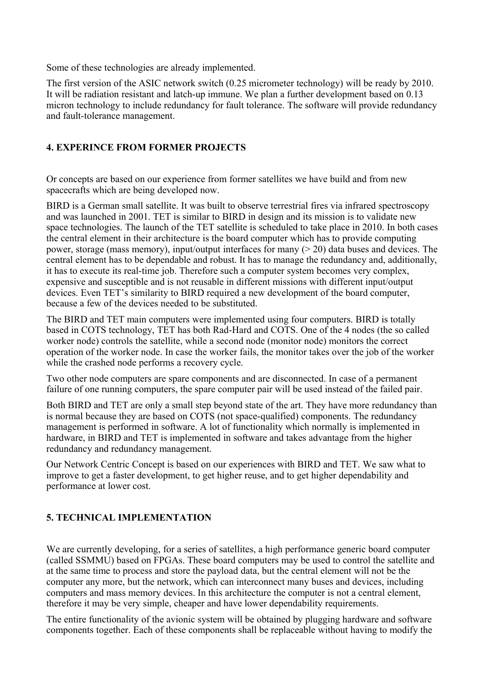Some of these technologies are already implemented.

The first version of the ASIC network switch (0.25 micrometer technology) will be ready by 2010. It will be radiation resistant and latch-up immune. We plan a further development based on 0.13 micron technology to include redundancy for fault tolerance. The software will provide redundancy and fault-tolerance management.

## **4. EXPERINCE FROM FORMER PROJECTS**

Or concepts are based on our experience from former satellites we have build and from new spacecrafts which are being developed now.

BIRD is a German small satellite. It was built to observe terrestrial fires via infrared spectroscopy and was launched in 2001. TET is similar to BIRD in design and its mission is to validate new space technologies. The launch of the TET satellite is scheduled to take place in 2010. In both cases the central element in their architecture is the board computer which has to provide computing power, storage (mass memory), input/output interfaces for many (> 20) data buses and devices. The central element has to be dependable and robust. It has to manage the redundancy and, additionally, it has to execute its real-time job. Therefore such a computer system becomes very complex, expensive and susceptible and is not reusable in different missions with different input/output devices. Even TET's similarity to BIRD required a new development of the board computer, because a few of the devices needed to be substituted.

The BIRD and TET main computers were implemented using four computers. BIRD is totally based in COTS technology, TET has both Rad-Hard and COTS. One of the 4 nodes (the so called worker node) controls the satellite, while a second node (monitor node) monitors the correct operation of the worker node. In case the worker fails, the monitor takes over the job of the worker while the crashed node performs a recovery cycle.

Two other node computers are spare components and are disconnected. In case of a permanent failure of one running computers, the spare computer pair will be used instead of the failed pair.

Both BIRD and TET are only a small step beyond state of the art. They have more redundancy than is normal because they are based on COTS (not space-qualified) components. The redundancy management is performed in software. A lot of functionality which normally is implemented in hardware, in BIRD and TET is implemented in software and takes advantage from the higher redundancy and redundancy management.

Our Network Centric Concept is based on our experiences with BIRD and TET. We saw what to improve to get a faster development, to get higher reuse, and to get higher dependability and performance at lower cost.

## **5. TECHNICAL IMPLEMENTATION**

We are currently developing, for a series of satellites, a high performance generic board computer (called SSMMU) based on FPGAs. These board computers may be used to control the satellite and at the same time to process and store the payload data, but the central element will not be the computer any more, but the network, which can interconnect many buses and devices, including computers and mass memory devices. In this architecture the computer is not a central element, therefore it may be very simple, cheaper and have lower dependability requirements.

The entire functionality of the avionic system will be obtained by plugging hardware and software components together. Each of these components shall be replaceable without having to modify the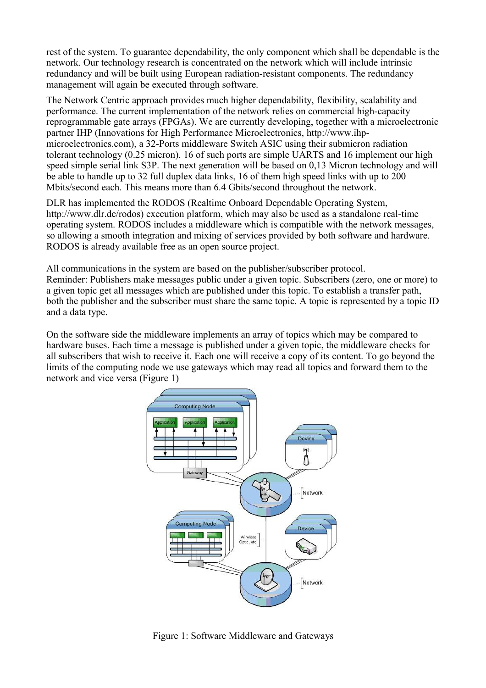rest of the system. To guarantee dependability, the only component which shall be dependable is the network. Our technology research is concentrated on the network which will include intrinsic redundancy and will be built using European radiation-resistant components. The redundancy management will again be executed through software.

The Network Centric approach provides much higher dependability, flexibility, scalability and performance. The current implementation of the network relies on commercial high-capacity reprogrammable gate arrays (FPGAs). We are currently developing, together with a microelectronic partner IHP (Innovations for High Performance Microelectronics, http://www.ihpmicroelectronics.com), a 32-Ports middleware Switch ASIC using their submicron radiation tolerant technology (0.25 micron). 16 of such ports are simple UARTS and 16 implement our high speed simple serial link S3P. The next generation will be based on 0,13 Micron technology and will be able to handle up to 32 full duplex data links, 16 of them high speed links with up to 200 Mbits/second each. This means more than 6.4 Gbits/second throughout the network.

DLR has implemented the RODOS (Realtime Onboard Dependable Operating System, http://www.dlr.de/rodos) execution platform, which may also be used as a standalone real-time operating system. RODOS includes a middleware which is compatible with the network messages, so allowing a smooth integration and mixing of services provided by both software and hardware. RODOS is already available free as an open source project.

All communications in the system are based on the publisher/subscriber protocol. Reminder: Publishers make messages public under a given topic. Subscribers (zero, one or more) to a given topic get all messages which are published under this topic. To establish a transfer path, both the publisher and the subscriber must share the same topic. A topic is represented by a topic ID and a data type.

On the software side the middleware implements an array of topics which may be compared to hardware buses. Each time a message is published under a given topic, the middleware checks for all subscribers that wish to receive it. Each one will receive a copy of its content. To go beyond the limits of the computing node we use gateways which may read all topics and forward them to the network and vice versa (Figure 1)



Figure 1: Software Middleware and Gateways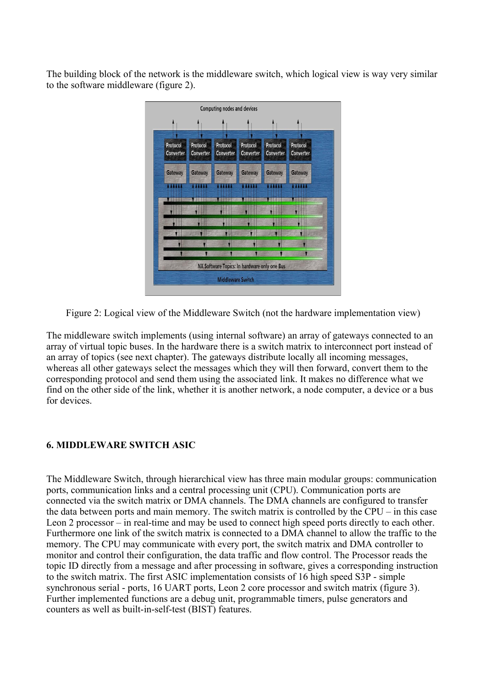The building block of the network is the middleware switch, which logical view is way very similar to the software middleware (figure 2).



Figure 2: Logical view of the Middleware Switch (not the hardware implementation view)

The middleware switch implements (using internal software) an array of gateways connected to an array of virtual topic buses. In the hardware there is a switch matrix to interconnect port instead of an array of topics (see next chapter). The gateways distribute locally all incoming messages, whereas all other gateways select the messages which they will then forward, convert them to the corresponding protocol and send them using the associated link. It makes no difference what we find on the other side of the link, whether it is another network, a node computer, a device or a bus for devices.

## **6. MIDDLEWARE SWITCH ASIC**

The Middleware Switch, through hierarchical view has three main modular groups: communication ports, communication links and a central processing unit (CPU). Communication ports are connected via the switch matrix or DMA channels. The DMA channels are configured to transfer the data between ports and main memory. The switch matrix is controlled by the CPU – in this case Leon 2 processor – in real-time and may be used to connect high speed ports directly to each other. Furthermore one link of the switch matrix is connected to a DMA channel to allow the traffic to the memory. The CPU may communicate with every port, the switch matrix and DMA controller to monitor and control their configuration, the data traffic and flow control. The Processor reads the topic ID directly from a message and after processing in software, gives a corresponding instruction to the switch matrix. The first ASIC implementation consists of 16 high speed S3P - simple synchronous serial - ports, 16 UART ports, Leon 2 core processor and switch matrix (figure 3). Further implemented functions are a debug unit, programmable timers, pulse generators and counters as well as built-in-self-test (BIST) features.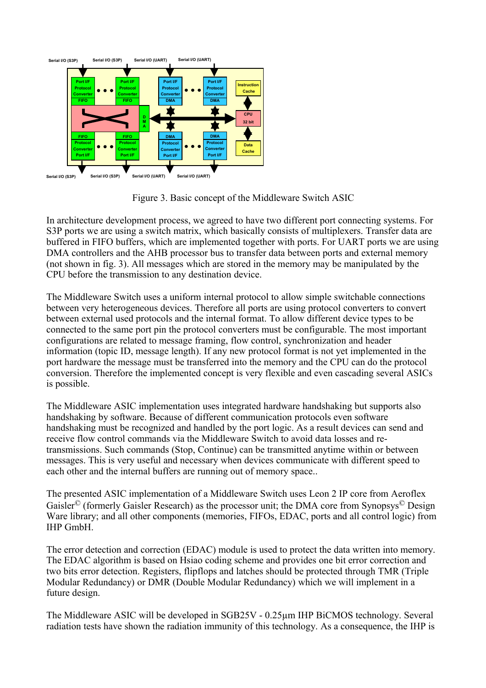

Figure 3. Basic concept of the Middleware Switch ASIC

In architecture development process, we agreed to have two different port connecting systems. For S3P ports we are using a switch matrix, which basically consists of multiplexers. Transfer data are buffered in FIFO buffers, which are implemented together with ports. For UART ports we are using DMA controllers and the AHB processor bus to transfer data between ports and external memory (not shown in fig. 3). All messages which are stored in the memory may be manipulated by the CPU before the transmission to any destination device.

The Middleware Switch uses a uniform internal protocol to allow simple switchable connections between very heterogeneous devices. Therefore all ports are using protocol converters to convert between external used protocols and the internal format. To allow different device types to be connected to the same port pin the protocol converters must be configurable. The most important configurations are related to message framing, flow control, synchronization and header information (topic ID, message length). If any new protocol format is not yet implemented in the port hardware the message must be transferred into the memory and the CPU can do the protocol conversion. Therefore the implemented concept is very flexible and even cascading several ASICs is possible.

The Middleware ASIC implementation uses integrated hardware handshaking but supports also handshaking by software. Because of different communication protocols even software handshaking must be recognized and handled by the port logic. As a result devices can send and receive flow control commands via the Middleware Switch to avoid data losses and retransmissions. Such commands (Stop, Continue) can be transmitted anytime within or between messages. This is very useful and necessary when devices communicate with different speed to each other and the internal buffers are running out of memory space..

The presented ASIC implementation of a Middleware Switch uses Leon 2 IP core from Aeroflex Gaisler© (formerly Gaisler Research) as the processor unit; the DMA core from Synopsys© Design Ware library; and all other components (memories, FIFOs, EDAC, ports and all control logic) from IHP GmbH.

The error detection and correction (EDAC) module is used to protect the data written into memory. The EDAC algorithm is based on Hsiao coding scheme and provides one bit error correction and two bits error detection. Registers, flipflops and latches should be protected through TMR (Triple Modular Redundancy) or DMR (Double Modular Redundancy) which we will implement in a future design.

The Middleware ASIC will be developed in SGB25V - 0.25µm IHP BiCMOS technology. Several radiation tests have shown the radiation immunity of this technology. As a consequence, the IHP is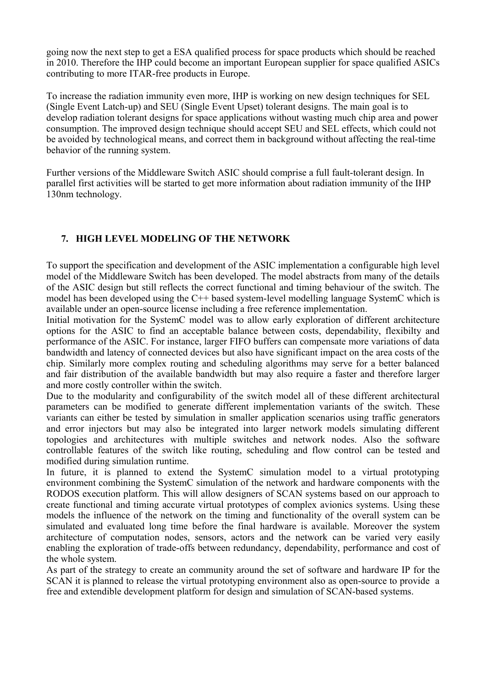going now the next step to get a ESA qualified process for space products which should be reached in 2010. Therefore the IHP could become an important European supplier for space qualified ASICs contributing to more ITAR-free products in Europe.

To increase the radiation immunity even more, IHP is working on new design techniques for SEL (Single Event Latch-up) and SEU (Single Event Upset) tolerant designs. The main goal is to develop radiation tolerant designs for space applications without wasting much chip area and power consumption. The improved design technique should accept SEU and SEL effects, which could not be avoided by technological means, and correct them in background without affecting the real-time behavior of the running system.

Further versions of the Middleware Switch ASIC should comprise a full fault-tolerant design. In parallel first activities will be started to get more information about radiation immunity of the IHP 130nm technology.

# **7. HIGH LEVEL MODELING OF THE NETWORK**

To support the specification and development of the ASIC implementation a configurable high level model of the Middleware Switch has been developed. The model abstracts from many of the details of the ASIC design but still reflects the correct functional and timing behaviour of the switch. The model has been developed using the C++ based system-level modelling language SystemC which is available under an open-source license including a free reference implementation.

Initial motivation for the SystemC model was to allow early exploration of different architecture options for the ASIC to find an acceptable balance between costs, dependability, flexibilty and performance of the ASIC. For instance, larger FIFO buffers can compensate more variations of data bandwidth and latency of connected devices but also have significant impact on the area costs of the chip. Similarly more complex routing and scheduling algorithms may serve for a better balanced and fair distribution of the available bandwidth but may also require a faster and therefore larger and more costly controller within the switch.

Due to the modularity and configurability of the switch model all of these different architectural parameters can be modified to generate different implementation variants of the switch. These variants can either be tested by simulation in smaller application scenarios using traffic generators and error injectors but may also be integrated into larger network models simulating different topologies and architectures with multiple switches and network nodes. Also the software controllable features of the switch like routing, scheduling and flow control can be tested and modified during simulation runtime.

In future, it is planned to extend the SystemC simulation model to a virtual prototyping environment combining the SystemC simulation of the network and hardware components with the RODOS execution platform. This will allow designers of SCAN systems based on our approach to create functional and timing accurate virtual prototypes of complex avionics systems. Using these models the influence of the network on the timing and functionality of the overall system can be simulated and evaluated long time before the final hardware is available. Moreover the system architecture of computation nodes, sensors, actors and the network can be varied very easily enabling the exploration of trade-offs between redundancy, dependability, performance and cost of the whole system.

As part of the strategy to create an community around the set of software and hardware IP for the SCAN it is planned to release the virtual prototyping environment also as open-source to provide a free and extendible development platform for design and simulation of SCAN-based systems.